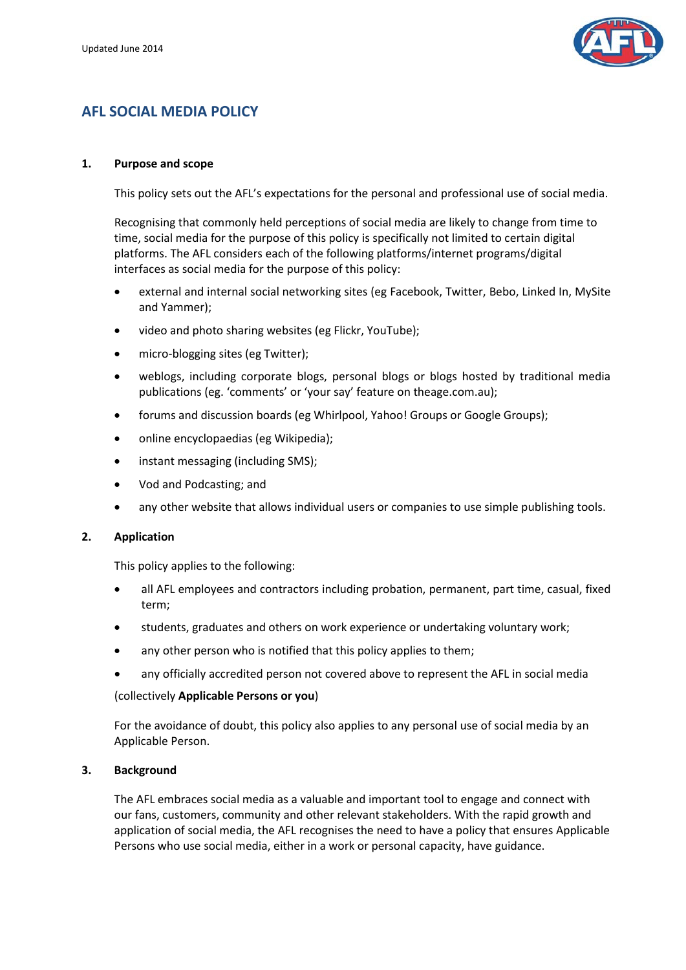

# **AFL SOCIAL MEDIA POLICY**

## **1. Purpose and scope**

This policy sets out the AFL's expectations for the personal and professional use of social media.

Recognising that commonly held perceptions of social media are likely to change from time to time, social media for the purpose of this policy is specifically not limited to certain digital platforms. The AFL considers each of the following platforms/internet programs/digital interfaces as social media for the purpose of this policy:

- external and internal social networking sites (eg Facebook, Twitter, Bebo, Linked In, MySite and Yammer);
- video and photo sharing websites (eg Flickr, YouTube);
- micro-blogging sites (eg Twitter);
- weblogs, including corporate blogs, personal blogs or blogs hosted by traditional media publications (eg. 'comments' or 'your say' feature on theage.com.au);
- forums and discussion boards (eg Whirlpool, Yahoo! Groups or Google Groups);
- online encyclopaedias (eg Wikipedia);
- instant messaging (including SMS);
- Vod and Podcasting; and
- any other website that allows individual users or companies to use simple publishing tools.

## **2. Application**

This policy applies to the following:

- all AFL employees and contractors including probation, permanent, part time, casual, fixed term;
- students, graduates and others on work experience or undertaking voluntary work;
- any other person who is notified that this policy applies to them;
- any officially accredited person not covered above to represent the AFL in social media

## (collectively **Applicable Persons or you**)

For the avoidance of doubt, this policy also applies to any personal use of social media by an Applicable Person.

## **3. Background**

The AFL embraces social media as a valuable and important tool to engage and connect with our fans, customers, community and other relevant stakeholders. With the rapid growth and application of social media, the AFL recognises the need to have a policy that ensures Applicable Persons who use social media, either in a work or personal capacity, have guidance.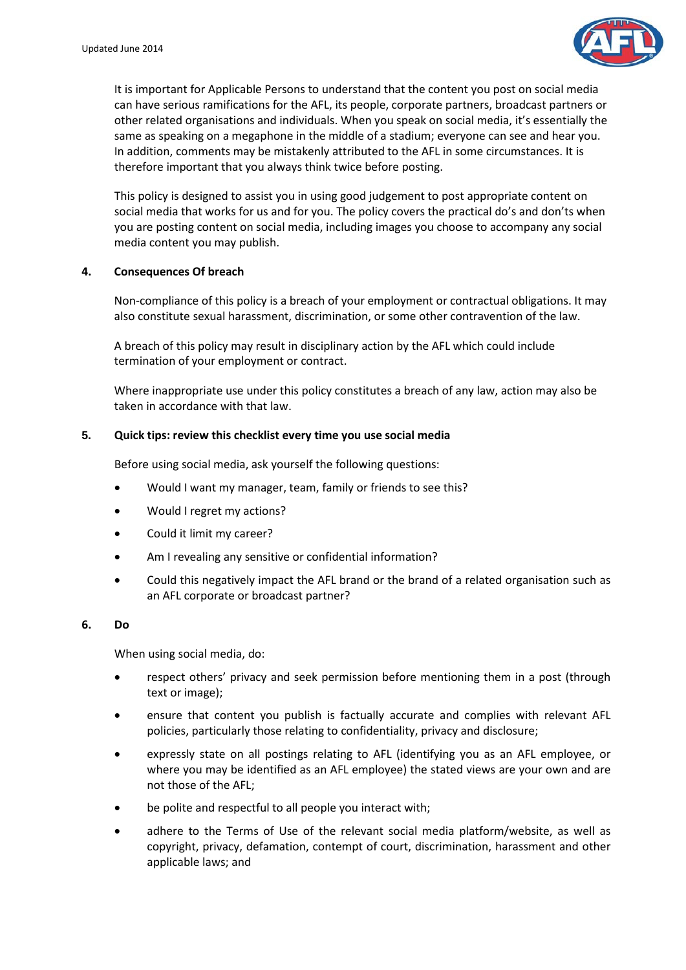

It is important for Applicable Persons to understand that the content you post on social media can have serious ramifications for the AFL, its people, corporate partners, broadcast partners or other related organisations and individuals. When you speak on social media, it's essentially the same as speaking on a megaphone in the middle of a stadium; everyone can see and hear you. In addition, comments may be mistakenly attributed to the AFL in some circumstances. It is therefore important that you always think twice before posting.

This policy is designed to assist you in using good judgement to post appropriate content on social media that works for us and for you. The policy covers the practical do's and don'ts when you are posting content on social media, including images you choose to accompany any social media content you may publish.

## **4. Consequences Of breach**

Non-compliance of this policy is a breach of your employment or contractual obligations. It may also constitute sexual harassment, discrimination, or some other contravention of the law.

A breach of this policy may result in disciplinary action by the AFL which could include termination of your employment or contract.

Where inappropriate use under this policy constitutes a breach of any law, action may also be taken in accordance with that law.

## **5. Quick tips: review this checklist every time you use social media**

Before using social media, ask yourself the following questions:

- Would I want my manager, team, family or friends to see this?
- Would I regret my actions?
- Could it limit my career?
- Am I revealing any sensitive or confidential information?
- Could this negatively impact the AFL brand or the brand of a related organisation such as an AFL corporate or broadcast partner?

## **6. Do**

When using social media, do:

- respect others' privacy and seek permission before mentioning them in a post (through text or image);
- ensure that content you publish is factually accurate and complies with relevant AFL policies, particularly those relating to confidentiality, privacy and disclosure;
- expressly state on all postings relating to AFL (identifying you as an AFL employee, or where you may be identified as an AFL employee) the stated views are your own and are not those of the AFL;
- be polite and respectful to all people you interact with;
- adhere to the Terms of Use of the relevant social media platform/website, as well as copyright, privacy, defamation, contempt of court, discrimination, harassment and other applicable laws; and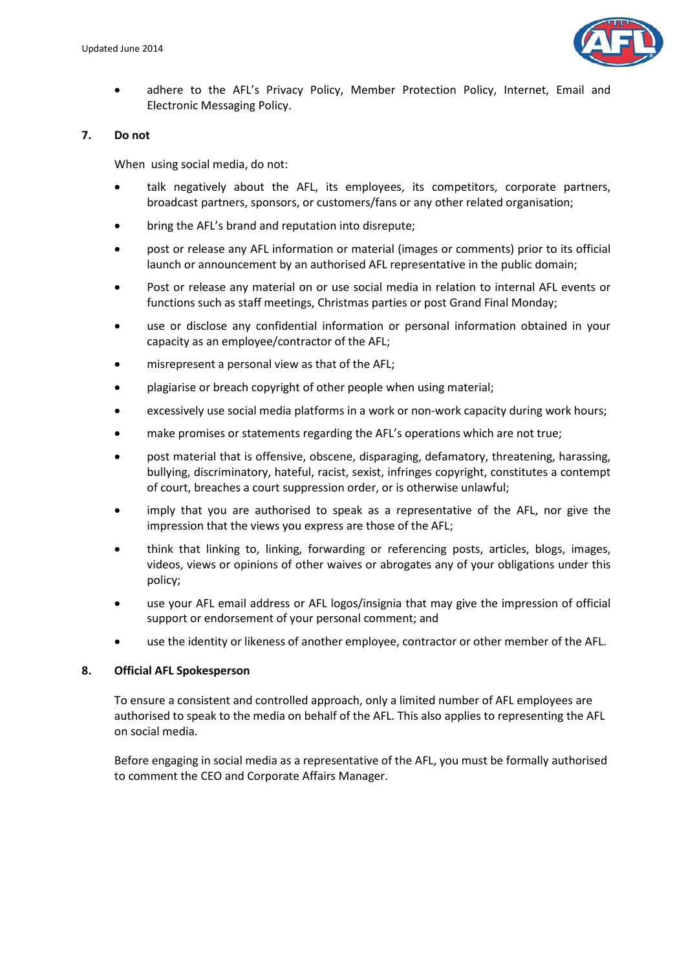

adhere to the AFL's Privacy Policy, Member Protection Policy, Internet, Email and Electronic Messaging Policy.

## **7. Do not**

When using social media, do not:

- talk negatively about the AFL, its employees, its competitors, corporate partners, broadcast partners, sponsors, or customers/fans or any other related organisation;
- bring the AFL's brand and reputation into disrepute;
- post or release any AFL information or material (images or comments) prior to its official launch or announcement by an authorised AFL representative in the public domain;
- Post or release any material on or use social media in relation to internal AFL events or functions such as staff meetings, Christmas parties or post Grand Final Monday;
- use or disclose any confidential information or personal information obtained in your capacity as an employee/contractor of the AFL;
- misrepresent a personal view as that of the AFL;
- plagiarise or breach copyright of other people when using material;
- excessively use social media platforms in a work or non-work capacity during work hours;
- make promises or statements regarding the AFL's operations which are not true;
- post material that is offensive, obscene, disparaging, defamatory, threatening, harassing, bullying, discriminatory, hateful, racist, sexist, infringes copyright, constitutes a contempt of court, breaches a court suppression order, or is otherwise unlawful;
- imply that you are authorised to speak as a representative of the AFL, nor give the impression that the views you express are those of the AFL;
- think that linking to, linking, forwarding or referencing posts, articles, blogs, images, videos, views or opinions of other waives or abrogates any of your obligations under this policy;
- use your AFL email address or AFL logos/insignia that may give the impression of official support or endorsement of your personal comment; and
- use the identity or likeness of another employee, contractor or other member of the AFL.

## **8. Official AFL Spokesperson**

To ensure a consistent and controlled approach, only a limited number of AFL employees are authorised to speak to the media on behalf of the AFL. This also applies to representing the AFL on social media.

Before engaging in social media as a representative of the AFL, you must be formally authorised to comment the CEO and Corporate Affairs Manager.